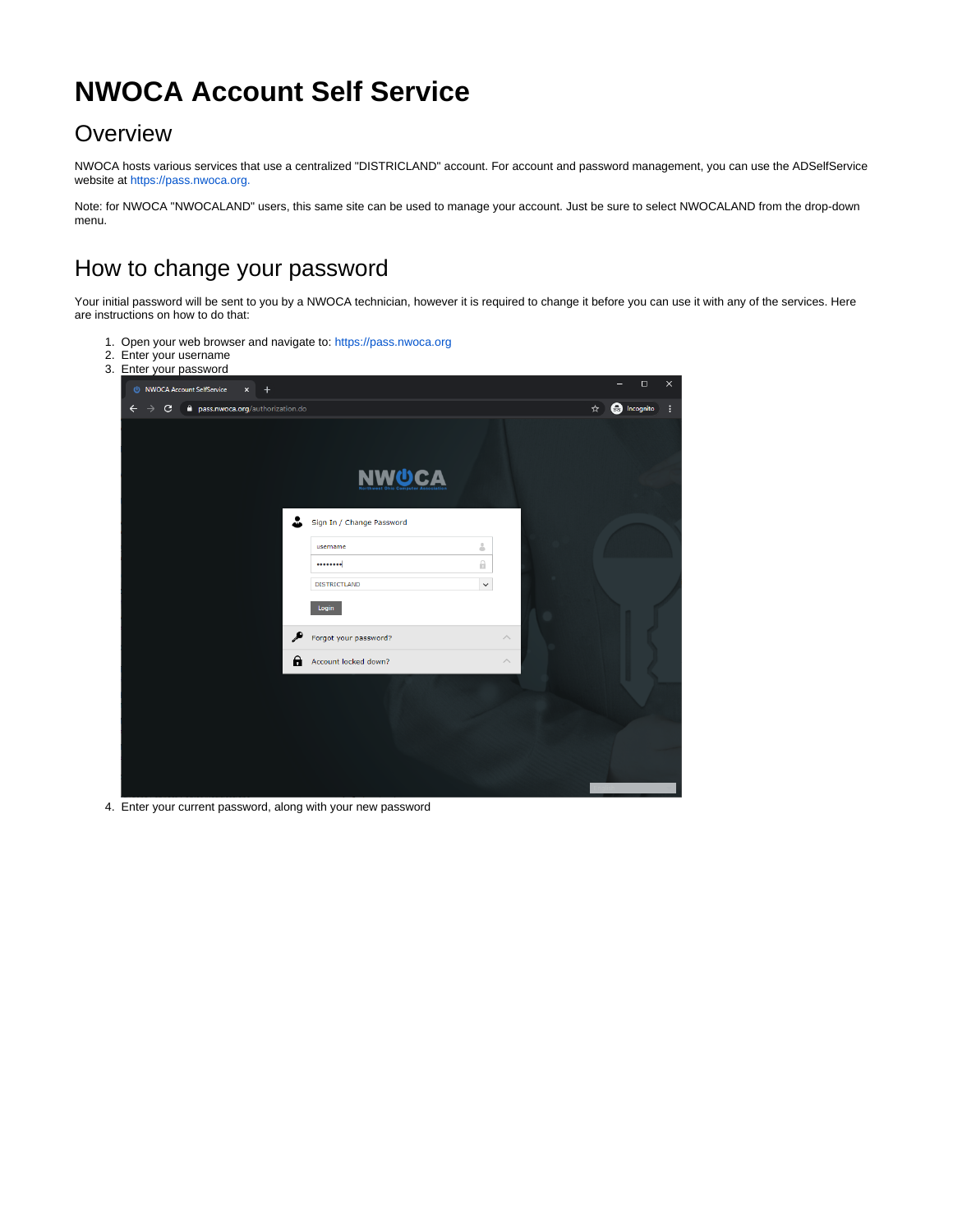## **NWOCA Account Self Service**

## **Overview**

NWOCA hosts various services that use a centralized "DISTRICLAND" account. For account and password management, you can use the ADSelfService website at <https://pass.nwoca.org.>

Note: for NWOCA "NWOCALAND" users, this same site can be used to manage your account. Just be sure to select NWOCALAND from the drop-down menu.

## How to change your password

Your initial password will be sent to you by a NWOCA technician, however it is required to change it before you can use it with any of the services. Here are instructions on how to do that:

- 1. Open your web browser and navigate to:<https://pass.nwoca.org>
- 2. Enter your username

|  | 3. Enter your password                                                                    |                           |                                    |                           |                    |                              |                    |
|--|-------------------------------------------------------------------------------------------|---------------------------|------------------------------------|---------------------------|--------------------|------------------------------|--------------------|
|  |                                                                                           | NWOCA Account SelfService | $\boldsymbol{\times}$<br>$\ddot{}$ |                           |                    |                              | $\times$<br>$\Box$ |
|  | <b>a</b> pass.nwoca.org/authorization.do<br>$\mathbf{C}$<br>$\rightarrow$<br>$\leftarrow$ |                           |                                    |                           |                    | <b>O</b> Incognito<br>☆<br>÷ |                    |
|  |                                                                                           |                           |                                    |                           |                    |                              |                    |
|  |                                                                                           |                           |                                    |                           |                    |                              |                    |
|  |                                                                                           |                           |                                    | <b>NWUCA</b>              |                    |                              |                    |
|  |                                                                                           |                           |                                    | Sign In / Change Password |                    |                              |                    |
|  |                                                                                           |                           |                                    | username                  | å                  |                              |                    |
|  |                                                                                           |                           |                                    |                           | A                  |                              |                    |
|  |                                                                                           |                           |                                    | <b>DISTRICTLAND</b>       | $\checkmark$       |                              |                    |
|  |                                                                                           |                           |                                    | Login                     |                    |                              |                    |
|  |                                                                                           |                           |                                    | Forgot your password?     | $\wedge$           |                              |                    |
|  |                                                                                           |                           | А                                  | Account locked down?      | $\curvearrowright$ |                              |                    |
|  |                                                                                           |                           |                                    |                           |                    |                              |                    |
|  |                                                                                           |                           |                                    |                           |                    |                              |                    |
|  |                                                                                           |                           |                                    |                           |                    |                              |                    |
|  |                                                                                           |                           |                                    |                           |                    |                              |                    |
|  |                                                                                           |                           |                                    |                           |                    |                              |                    |
|  |                                                                                           |                           |                                    |                           |                    |                              |                    |

4. Enter your current password, along with your new password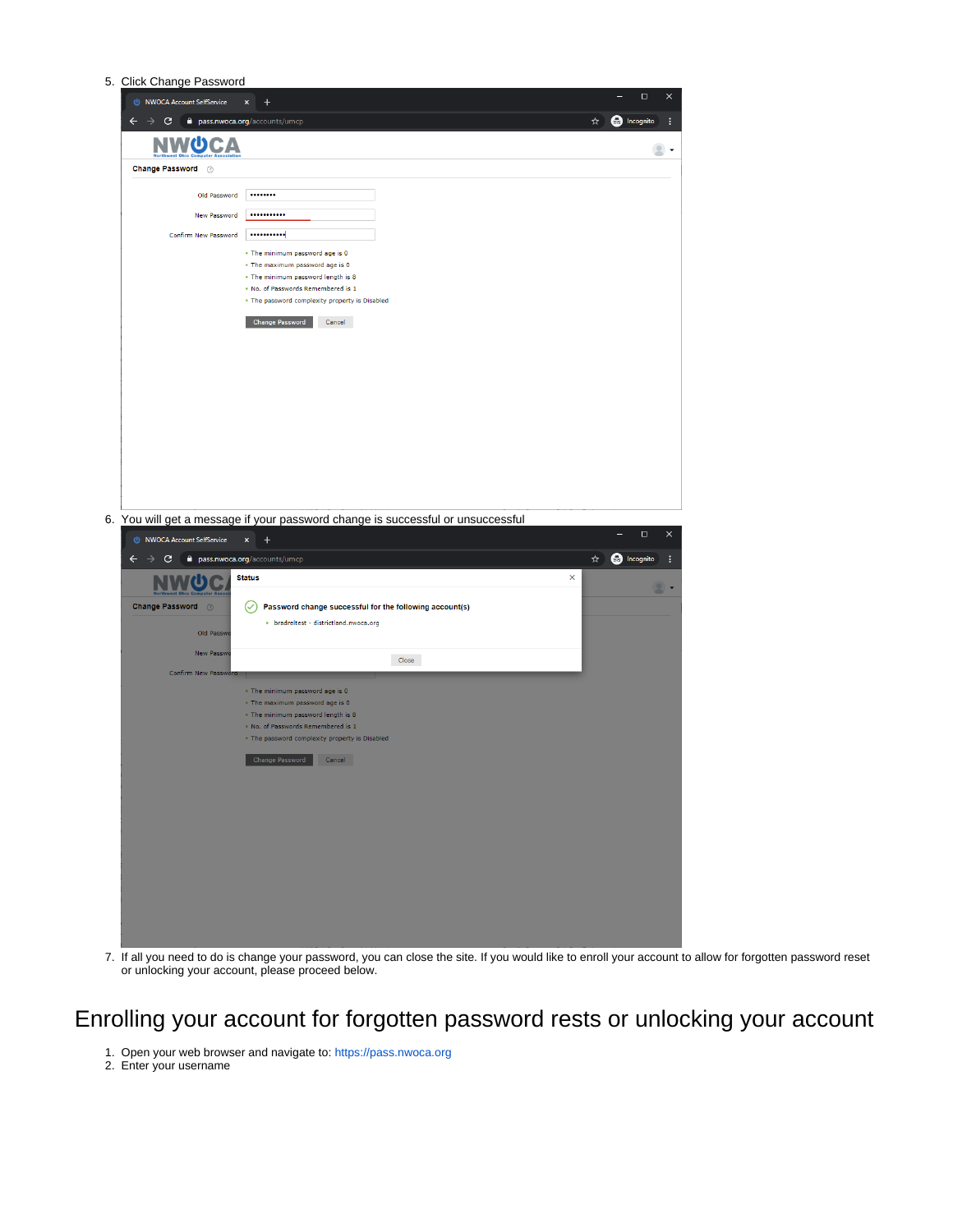5. Click Change Password



7. If all you need to do is change your password, you can close the site. If you would like to enroll your account to allow for forgotten password reset or unlocking your account, please proceed below.

## Enrolling your account for forgotten password rests or unlocking your account

- 1. Open your web browser and navigate to:<https://pass.nwoca.org>
- 2. Enter your username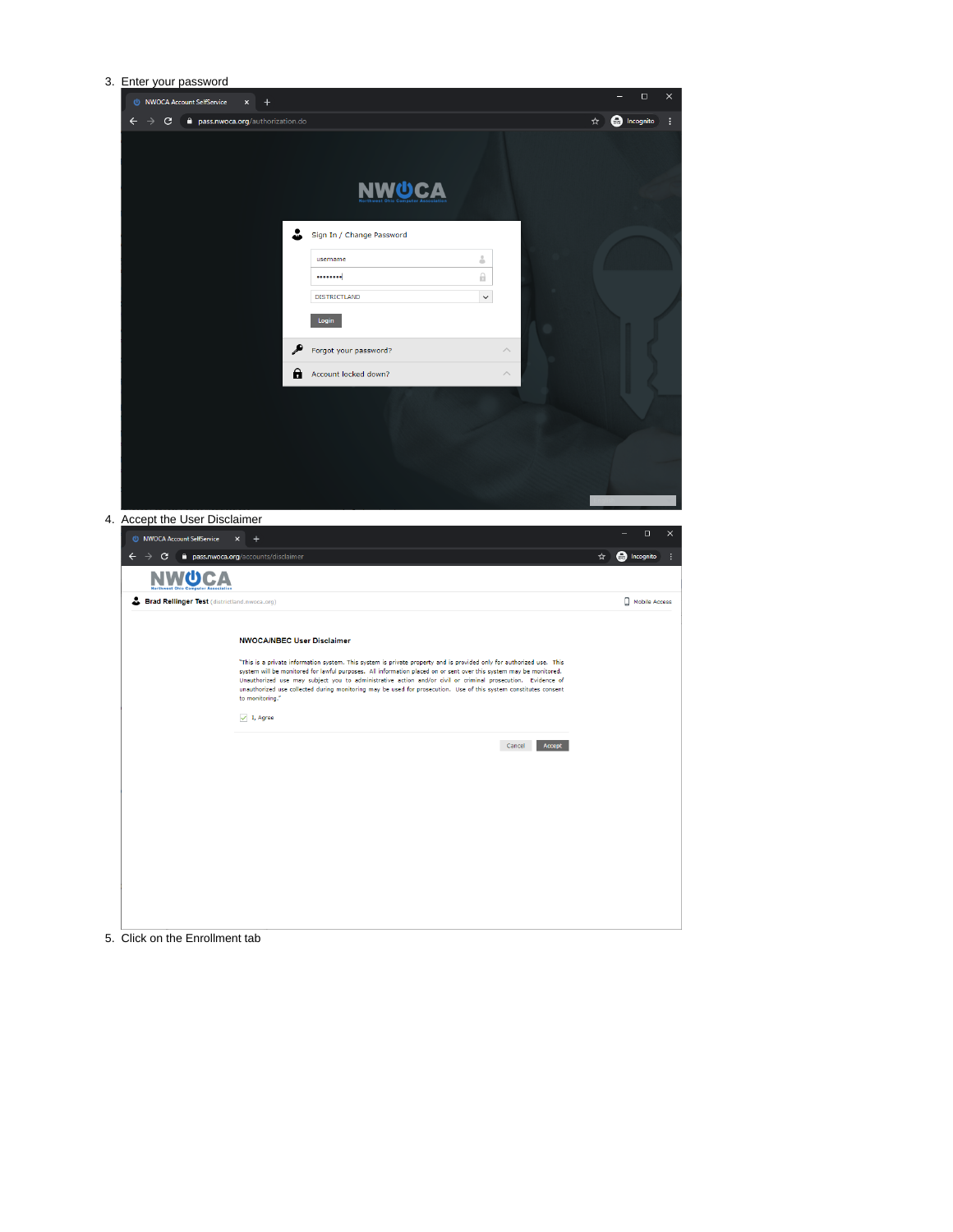| 3. Enter your password                       |                                          |                                                                                                                                                                                                                                            |                  |                               |
|----------------------------------------------|------------------------------------------|--------------------------------------------------------------------------------------------------------------------------------------------------------------------------------------------------------------------------------------------|------------------|-------------------------------|
| NWOCA Account SelfService                    | $\ddot{}$<br>$\pmb{\times}$              |                                                                                                                                                                                                                                            |                  | $\Box$<br>$\times$            |
| $\rightarrow$ c<br>$\leftarrow$              | <b>a</b> pass.nwoca.org/authorization.do |                                                                                                                                                                                                                                            |                  | <b>a</b> Incognito<br>÷<br>☆  |
|                                              |                                          |                                                                                                                                                                                                                                            |                  |                               |
|                                              |                                          |                                                                                                                                                                                                                                            |                  |                               |
|                                              |                                          | <b>NWUCA</b>                                                                                                                                                                                                                               |                  |                               |
|                                              |                                          |                                                                                                                                                                                                                                            |                  |                               |
|                                              |                                          |                                                                                                                                                                                                                                            |                  |                               |
|                                              | ┻                                        | Sign In / Change Password                                                                                                                                                                                                                  |                  |                               |
|                                              |                                          | username                                                                                                                                                                                                                                   | 4                |                               |
|                                              |                                          |                                                                                                                                                                                                                                            | Θ.               |                               |
|                                              |                                          | <b>DISTRICTLAND</b>                                                                                                                                                                                                                        | $\checkmark$     |                               |
|                                              |                                          | Login                                                                                                                                                                                                                                      |                  |                               |
|                                              |                                          | Forgot your password?                                                                                                                                                                                                                      |                  |                               |
|                                              |                                          | Account locked down?                                                                                                                                                                                                                       |                  |                               |
|                                              | θ                                        |                                                                                                                                                                                                                                            |                  |                               |
|                                              |                                          |                                                                                                                                                                                                                                            |                  |                               |
|                                              |                                          |                                                                                                                                                                                                                                            |                  |                               |
|                                              |                                          |                                                                                                                                                                                                                                            |                  |                               |
|                                              |                                          |                                                                                                                                                                                                                                            |                  |                               |
|                                              |                                          |                                                                                                                                                                                                                                            |                  |                               |
|                                              |                                          |                                                                                                                                                                                                                                            |                  |                               |
| 4. Accept the User Disclaimer                |                                          |                                                                                                                                                                                                                                            |                  | $\Box$<br>$\times$            |
| NWOCA Account SelfService                    | $\boldsymbol{\times}$<br>$\ddot{}$       |                                                                                                                                                                                                                                            |                  |                               |
| $\leftarrow$<br>$\rightarrow$ c              | pass.nwoca.org/accounts/disclaimer       |                                                                                                                                                                                                                                            |                  | ☆│<br><b>B</b> Incognito<br>ŧ |
| <b>NWUCA</b>                                 |                                          |                                                                                                                                                                                                                                            |                  |                               |
| Brad Rellinger Test (districtland.nwoca.org) |                                          |                                                                                                                                                                                                                                            |                  | Mobile Access                 |
|                                              |                                          |                                                                                                                                                                                                                                            |                  |                               |
|                                              | <b>NWOCA/NBEC User Disclaimer</b>        |                                                                                                                                                                                                                                            |                  |                               |
|                                              |                                          | "This is a private information system. This system is private property and is provided only for authorized use. This<br>system will be monitored for lawful purposes. All information placed on or sent over this system may be monitored. |                  |                               |
|                                              |                                          | Unauthorized use may subject you to administrative action and/or civil or criminal prosecution. Evidence of<br>unauthorized use collected during monitoring may be used for prosecution. Use of this system constitutes consent            |                  |                               |
|                                              | to monitoring."                          |                                                                                                                                                                                                                                            |                  |                               |
|                                              | $\sqrt{1}$ , Agree                       |                                                                                                                                                                                                                                            |                  |                               |
|                                              |                                          |                                                                                                                                                                                                                                            | Cancel<br>Accept |                               |
|                                              |                                          |                                                                                                                                                                                                                                            |                  |                               |
|                                              |                                          |                                                                                                                                                                                                                                            |                  |                               |
|                                              |                                          |                                                                                                                                                                                                                                            |                  |                               |
|                                              |                                          |                                                                                                                                                                                                                                            |                  |                               |
|                                              |                                          |                                                                                                                                                                                                                                            |                  |                               |
|                                              |                                          |                                                                                                                                                                                                                                            |                  |                               |
|                                              |                                          |                                                                                                                                                                                                                                            |                  |                               |
|                                              |                                          |                                                                                                                                                                                                                                            |                  |                               |
|                                              |                                          |                                                                                                                                                                                                                                            |                  |                               |

5. Click on the Enrollment tab